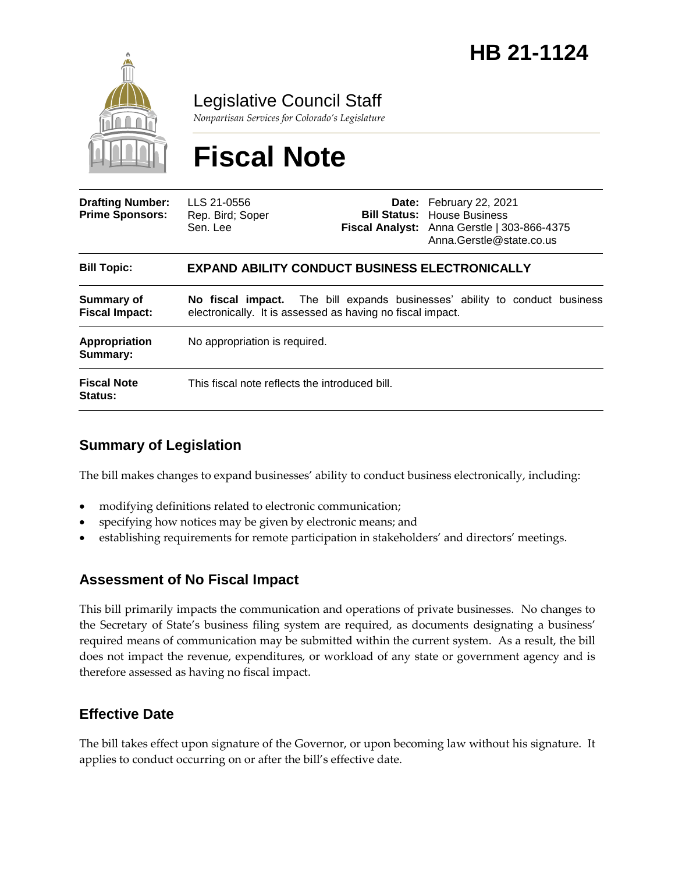

Legislative Council Staff

*Nonpartisan Services for Colorado's Legislature*

# **Fiscal Note**

| <b>Drafting Number:</b><br><b>Prime Sponsors:</b> | LLS 21-0556<br>Rep. Bird; Soper<br>Sen, Lee                                                                                              |  | Date: February 22, 2021<br><b>Bill Status:</b> House Business<br>Fiscal Analyst: Anna Gerstle   303-866-4375<br>Anna.Gerstle@state.co.us |
|---------------------------------------------------|------------------------------------------------------------------------------------------------------------------------------------------|--|------------------------------------------------------------------------------------------------------------------------------------------|
| <b>Bill Topic:</b>                                | <b>EXPAND ABILITY CONDUCT BUSINESS ELECTRONICALLY</b>                                                                                    |  |                                                                                                                                          |
| Summary of<br><b>Fiscal Impact:</b>               | No fiscal impact. The bill expands businesses' ability to conduct business<br>electronically. It is assessed as having no fiscal impact. |  |                                                                                                                                          |
| Appropriation<br>Summary:                         | No appropriation is required.                                                                                                            |  |                                                                                                                                          |
| <b>Fiscal Note</b><br><b>Status:</b>              | This fiscal note reflects the introduced bill.                                                                                           |  |                                                                                                                                          |

### **Summary of Legislation**

The bill makes changes to expand businesses' ability to conduct business electronically, including:

- modifying definitions related to electronic communication;
- specifying how notices may be given by electronic means; and
- establishing requirements for remote participation in stakeholders' and directors' meetings.

#### **Assessment of No Fiscal Impact**

This bill primarily impacts the communication and operations of private businesses. No changes to the Secretary of State's business filing system are required, as documents designating a business' required means of communication may be submitted within the current system. As a result, the bill does not impact the revenue, expenditures, or workload of any state or government agency and is therefore assessed as having no fiscal impact.

#### **Effective Date**

The bill takes effect upon signature of the Governor, or upon becoming law without his signature. It applies to conduct occurring on or after the bill's effective date.